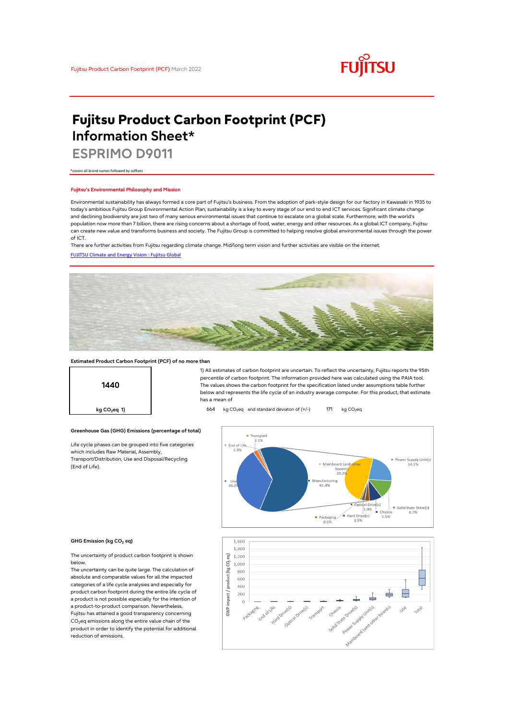

# **Fujitsu Product Carbon Footprint (PCF) Information Sheet\***

**ESPRIMO D9011**

\*covers all brand names followed by suffixes

### **Fujitsu's Environmental Philosophy and Mission**

Environmental sustainability has always formed a core part of Fujitsu's business. From the adoption of park-style design for our factory in Kawasaki in 1935 to today's ambitious Fujitsu Group Environmental Action Plan, sustainability is a key to every stage of our end to end ICT services. Significant climate change and declining biodiversity are just two of many serious environmental issues that continue to escalate on a global scale. Furthermore, with the world's population now more than 7 billion, there are rising concerns about a shortage of food, water, energy and other resources. As a global ICT company, Fujitsu can create new value and transforms business and society. The Fujitsu Group is committed to helping resolve global environmental issues through the power of ICT.

[FUJITSU Climate and Energy Vision : Fujitsu Global](https://www.fujitsu.com/global/about/environment/climate-energy-vision/) There are further activities from Fujitsu regarding climate change. Mid/long term vision and further activities are visible on the internet.



## **Estimated Product Carbon Footprint (PCF) of no more than**



1) All estimates of carbon footprint are uncertain. To reflect the uncertainty, Fujitsu reports the 95th percentile of carbon footprint. The information provided here was calculated using the PAIA tool. The values shows the carbon footprint for the specification listed under assumptions table further below and represents the life cycle of an industry average computer. For this product, that estimate has a mean of

**kg CO<sub>2</sub>eq 1) b64** kg CO<sub>2</sub>eq and standard deviaton of (+/-) 171 kg CO<sub>2</sub>eq

## $\blacksquare$  Transpor  $\equiv$  End of Life.<br>1.3% Supply Un<br>14.1% Mainboard (and  $29.2$ Manufacturing 61.4%  $\overline{\text{Optical Drive}}(s)$ <br>1.9% Cha Solid State Drive(s)  $87%$ Packaging = Hard Drive(s)<br>0.6% 1.5%  $5.5%$



The uncertainty of product carbon footprint is shown below.

Life cycle phases can be grouped into five categories

**Greenhouse Gas (GHG) Emissions (percentage of total)**

which includes Raw Material, Assembly, Transport/Distribution, Use and Disposal/Recycling

(End of Life).

The uncertainty can be quite large. The calculation of absolute and comparable values for all the impacted categories of a life cycle analysies and especially for product carbon footprint during the entire life cycle of a product is not possible especially for the intention of a product-to-product comparison. Nevertheless, Fujitsu has attained a good transparency concerning CO<sub>2</sub>eq emissions along the entire value chain of the

product in order to identify the potential for additional reduction of emissions.